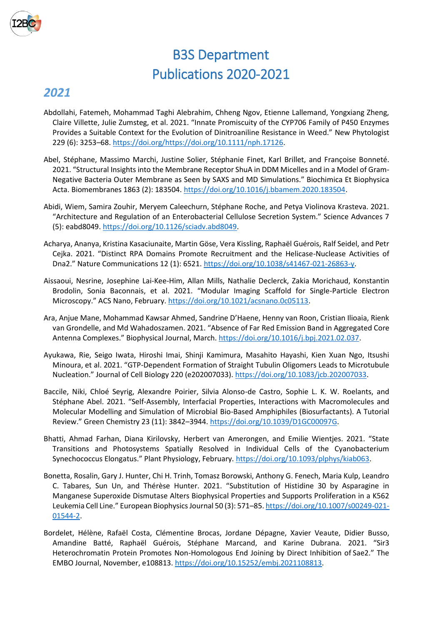

## B3S Department Publications 2020-2021

## *2021*

- Abdollahi, Fatemeh, Mohammad Taghi Alebrahim, Chheng Ngov, Etienne Lallemand, Yongxiang Zheng, Claire Villette, Julie Zumsteg, et al. 2021. "Innate Promiscuity of the CYP706 Family of P450 Enzymes Provides a Suitable Context for the Evolution of Dinitroaniline Resistance in Weed." New Phytologist 229 (6): 3253–68. [https://doi.org/https://doi.org/10.1111/nph.17126.](https://doi.org/https:/doi.org/10.1111/nph.17126)
- Abel, Stéphane, Massimo Marchi, Justine Solier, Stéphanie Finet, Karl Brillet, and Françoise Bonneté. 2021. "Structural Insights into the Membrane Receptor ShuA in DDM Micelles and in a Model of Gram-Negative Bacteria Outer Membrane as Seen by SAXS and MD Simulations." Biochimica Et Biophysica Acta. Biomembranes 1863 (2): 183504[. https://doi.org/10.1016/j.bbamem.2020.183504.](https://doi.org/10.1016/j.bbamem.2020.183504)
- Abidi, Wiem, Samira Zouhir, Meryem Caleechurn, Stéphane Roche, and Petya Violinova Krasteva. 2021. "Architecture and Regulation of an Enterobacterial Cellulose Secretion System." Science Advances 7 (5): eabd8049. [https://doi.org/10.1126/sciadv.abd8049.](https://doi.org/10.1126/sciadv.abd8049)
- Acharya, Ananya, Kristina Kasaciunaite, Martin Göse, Vera Kissling, Raphaël Guérois, Ralf Seidel, and Petr Cejka. 2021. "Distinct RPA Domains Promote Recruitment and the Helicase-Nuclease Activities of Dna2." Nature Communications 12 (1): 6521[. https://doi.org/10.1038/s41467-021-26863-y.](https://doi.org/10.1038/s41467-021-26863-y)
- Aissaoui, Nesrine, Josephine Lai-Kee-Him, Allan Mills, Nathalie Declerck, Zakia Morichaud, Konstantin Brodolin, Sonia Baconnais, et al. 2021. "Modular Imaging Scaffold for Single-Particle Electron Microscopy." ACS Nano, February. [https://doi.org/10.1021/acsnano.0c05113.](https://doi.org/10.1021/acsnano.0c05113)
- Ara, Anjue Mane, Mohammad Kawsar Ahmed, Sandrine D'Haene, Henny van Roon, Cristian Ilioaia, Rienk van Grondelle, and Md Wahadoszamen. 2021. "Absence of Far Red Emission Band in Aggregated Core Antenna Complexes." Biophysical Journal, March. [https://doi.org/10.1016/j.bpj.2021.02.037.](https://doi.org/10.1016/j.bpj.2021.02.037)
- Ayukawa, Rie, Seigo Iwata, Hiroshi Imai, Shinji Kamimura, Masahito Hayashi, Kien Xuan Ngo, Itsushi Minoura, et al. 2021. "GTP-Dependent Formation of Straight Tubulin Oligomers Leads to Microtubule Nucleation." Journal of Cell Biology 220 (e202007033). [https://doi.org/10.1083/jcb.202007033.](https://doi.org/10.1083/jcb.202007033)
- Baccile, Niki, Chloé Seyrig, Alexandre Poirier, Silvia Alonso-de Castro, Sophie L. K. W. Roelants, and Stéphane Abel. 2021. "Self-Assembly, Interfacial Properties, Interactions with Macromolecules and Molecular Modelling and Simulation of Microbial Bio-Based Amphiphiles (Biosurfactants). A Tutorial Review." Green Chemistry 23 (11): 3842–3944. [https://doi.org/10.1039/D1GC00097G.](https://doi.org/10.1039/D1GC00097G)
- Bhatti, Ahmad Farhan, Diana Kirilovsky, Herbert van Amerongen, and Emilie Wientjes. 2021. "State Transitions and Photosystems Spatially Resolved in Individual Cells of the Cyanobacterium Synechococcus Elongatus." Plant Physiology, February. [https://doi.org/10.1093/plphys/kiab063.](https://doi.org/10.1093/plphys/kiab063)
- Bonetta, Rosalin, Gary J. Hunter, Chi H. Trinh, Tomasz Borowski, Anthony G. Fenech, Maria Kulp, Leandro C. Tabares, Sun Un, and Thérèse Hunter. 2021. "Substitution of Histidine 30 by Asparagine in Manganese Superoxide Dismutase Alters Biophysical Properties and Supports Proliferation in a K562 Leukemia Cell Line." European Biophysics Journal 50 (3): 571–85[. https://doi.org/10.1007/s00249-021-](https://doi.org/10.1007/s00249-021-01544-2) [01544-2.](https://doi.org/10.1007/s00249-021-01544-2)
- Bordelet, Hélène, Rafaël Costa, Clémentine Brocas, Jordane Dépagne, Xavier Veaute, Didier Busso, Amandine Batté, Raphaël Guérois, Stéphane Marcand, and Karine Dubrana. 2021. "Sir3 Heterochromatin Protein Promotes Non-Homologous End Joining by Direct Inhibition of Sae2." The EMBO Journal, November, e108813[. https://doi.org/10.15252/embj.2021108813.](https://doi.org/10.15252/embj.2021108813)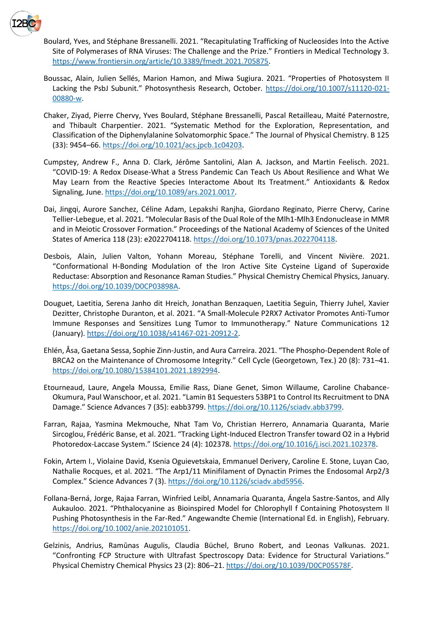

- Boulard, Yves, and Stéphane Bressanelli. 2021. "Recapitulating Trafficking of Nucleosides Into the Active Site of Polymerases of RNA Viruses: The Challenge and the Prize." Frontiers in Medical Technology 3. [https://www.frontiersin.org/article/10.3389/fmedt.2021.705875.](https://www.frontiersin.org/article/10.3389/fmedt.2021.705875)
- Boussac, Alain, Julien Sellés, Marion Hamon, and Miwa Sugiura. 2021. "Properties of Photosystem II Lacking the PsbJ Subunit." Photosynthesis Research, October. [https://doi.org/10.1007/s11120-021-](https://doi.org/10.1007/s11120-021-00880-w) [00880-w.](https://doi.org/10.1007/s11120-021-00880-w)
- Chaker, Ziyad, Pierre Chervy, Yves Boulard, Stéphane Bressanelli, Pascal Retailleau, Maité Paternostre, and Thibault Charpentier. 2021. "Systematic Method for the Exploration, Representation, and Classification of the Diphenylalanine Solvatomorphic Space." The Journal of Physical Chemistry. B 125 (33): 9454–66. [https://doi.org/10.1021/acs.jpcb.1c04203.](https://doi.org/10.1021/acs.jpcb.1c04203)
- Cumpstey, Andrew F., Anna D. Clark, Jérôme Santolini, Alan A. Jackson, and Martin Feelisch. 2021. "COVID-19: A Redox Disease-What a Stress Pandemic Can Teach Us About Resilience and What We May Learn from the Reactive Species Interactome About Its Treatment." Antioxidants & Redox Signaling, June[. https://doi.org/10.1089/ars.2021.0017.](https://doi.org/10.1089/ars.2021.0017)
- Dai, Jingqi, Aurore Sanchez, Céline Adam, Lepakshi Ranjha, Giordano Reginato, Pierre Chervy, Carine Tellier-Lebegue, et al. 2021. "Molecular Basis of the Dual Role of the Mlh1-Mlh3 Endonuclease in MMR and in Meiotic Crossover Formation." Proceedings of the National Academy of Sciences of the United States of America 118 (23): e2022704118. [https://doi.org/10.1073/pnas.2022704118.](https://doi.org/10.1073/pnas.2022704118)
- Desbois, Alain, Julien Valton, Yohann Moreau, Stéphane Torelli, and Vincent Nivière. 2021. "Conformational H-Bonding Modulation of the Iron Active Site Cysteine Ligand of Superoxide Reductase: Absorption and Resonance Raman Studies." Physical Chemistry Chemical Physics, January. [https://doi.org/10.1039/D0CP03898A.](https://doi.org/10.1039/D0CP03898A)
- Douguet, Laetitia, Serena Janho dit Hreich, Jonathan Benzaquen, Laetitia Seguin, Thierry Juhel, Xavier Dezitter, Christophe Duranton, et al. 2021. "A Small-Molecule P2RX7 Activator Promotes Anti-Tumor Immune Responses and Sensitizes Lung Tumor to Immunotherapy." Nature Communications 12 (January). [https://doi.org/10.1038/s41467-021-20912-2.](https://doi.org/10.1038/s41467-021-20912-2)
- Ehlén, Åsa, Gaetana Sessa, Sophie Zinn-Justin, and Aura Carreira. 2021. "The Phospho-Dependent Role of BRCA2 on the Maintenance of Chromosome Integrity." Cell Cycle (Georgetown, Tex.) 20 (8): 731–41. [https://doi.org/10.1080/15384101.2021.1892994.](https://doi.org/10.1080/15384101.2021.1892994)
- Etourneaud, Laure, Angela Moussa, Emilie Rass, Diane Genet, Simon Willaume, Caroline Chabance-Okumura, Paul Wanschoor, et al. 2021. "Lamin B1 Sequesters 53BP1 to Control Its Recruitment to DNA Damage." Science Advances 7 (35): eabb3799. [https://doi.org/10.1126/sciadv.abb3799.](https://doi.org/10.1126/sciadv.abb3799)
- Farran, Rajaa, Yasmina Mekmouche, Nhat Tam Vo, Christian Herrero, Annamaria Quaranta, Marie Sircoglou, Frédéric Banse, et al. 2021. "Tracking Light-Induced Electron Transfer toward O2 in a Hybrid Photoredox-Laccase System." IScience 24 (4): 102378. [https://doi.org/10.1016/j.isci.2021.102378.](https://doi.org/10.1016/j.isci.2021.102378)
- Fokin, Artem I., Violaine David, Ksenia Oguievetskaia, Emmanuel Derivery, Caroline E. Stone, Luyan Cao, Nathalie Rocques, et al. 2021. "The Arp1/11 Minifilament of Dynactin Primes the Endosomal Arp2/3 Complex." Science Advances 7 (3). [https://doi.org/10.1126/sciadv.abd5956.](https://doi.org/10.1126/sciadv.abd5956)
- Follana-Berná, Jorge, Rajaa Farran, Winfried Leibl, Annamaria Quaranta, Ángela Sastre-Santos, and Ally Aukauloo. 2021. "Phthalocyanine as Bioinspired Model for Chlorophyll f Containing Photosystem II Pushing Photosynthesis in the Far-Red." Angewandte Chemie (International Ed. in English), February. [https://doi.org/10.1002/anie.202101051.](https://doi.org/10.1002/anie.202101051)
- Gelzinis, Andrius, Ramūnas Augulis, Claudia Büchel, Bruno Robert, and Leonas Valkunas. 2021. "Confronting FCP Structure with Ultrafast Spectroscopy Data: Evidence for Structural Variations." Physical Chemistry Chemical Physics 23 (2): 806–21. [https://doi.org/10.1039/D0CP05578F.](https://doi.org/10.1039/D0CP05578F)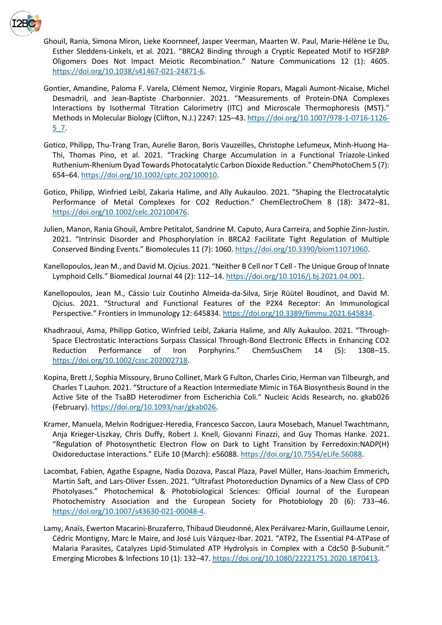

Ghouil, Rania, Simona Miron, Lieke Koornneef, Jasper Veerman, Maarten W. Paul, Marie-Hélène Le Du, Esther Sleddens-Linkels, et al. 2021. "BRCA2 Binding through a Cryptic Repeated Motif to HSF2BP Oligomers Does Not Impact Meiotic Recombination." Nature Communications 12 (1): 4605. [https://doi.org/10.1038/s41467-021-24871-6.](https://doi.org/10.1038/s41467-021-24871-6)

- Gontier, Amandine, Paloma F. Varela, Clément Nemoz, Virginie Ropars, Magali Aumont-Nicaise, Michel Desmadril, and Jean-Baptiste Charbonnier. 2021. "Measurements of Protein-DNA Complexes Interactions by Isothermal Titration Calorimetry (ITC) and Microscale Thermophoresis (MST)." Methods in Molecular Biology (Clifton, N.J.) 2247: 125–43. [https://doi.org/10.1007/978-1-0716-1126-](https://doi.org/10.1007/978-1-0716-1126-5_7) [5\\_7.](https://doi.org/10.1007/978-1-0716-1126-5_7)
- Gotico, Philipp, Thu-Trang Tran, Aurelie Baron, Boris Vauzeilles, Christophe Lefumeux, Minh-Huong Ha-Thi, Thomas Pino, et al. 2021. "Tracking Charge Accumulation in a Functional Triazole-Linked Ruthenium-Rhenium Dyad Towards Photocatalytic Carbon Dioxide Reduction." ChemPhotoChem 5 (7): 654–64[. https://doi.org/10.1002/cptc.202100010.](https://doi.org/10.1002/cptc.202100010)
- Gotico, Philipp, Winfried Leibl, Zakaria Halime, and Ally Aukauloo. 2021. "Shaping the Electrocatalytic Performance of Metal Complexes for CO2 Reduction." ChemElectroChem 8 (18): 3472–81. [https://doi.org/10.1002/celc.202100476.](https://doi.org/10.1002/celc.202100476)
- Julien, Manon, Rania Ghouil, Ambre Petitalot, Sandrine M. Caputo, Aura Carreira, and Sophie Zinn-Justin. 2021. "Intrinsic Disorder and Phosphorylation in BRCA2 Facilitate Tight Regulation of Multiple Conserved Binding Events." Biomolecules 11 (7): 1060. [https://doi.org/10.3390/biom11071060.](https://doi.org/10.3390/biom11071060)
- Kanellopoulos, Jean M., and David M. Ojcius. 2021. "Neither B Cell nor T Cell The Unique Group of Innate Lymphoid Cells." Biomedical Journal 44 (2): 112–14[. https://doi.org/10.1016/j.bj.2021.04.001.](https://doi.org/10.1016/j.bj.2021.04.001)
- Kanellopoulos, Jean M., Cássio Luiz Coutinho Almeida-da-Silva, Sirje Rüütel Boudinot, and David M. Ojcius. 2021. "Structural and Functional Features of the P2X4 Receptor: An Immunological Perspective." Frontiers in Immunology 12: 645834. [https://doi.org/10.3389/fimmu.2021.645834.](https://doi.org/10.3389/fimmu.2021.645834)
- Khadhraoui, Asma, Philipp Gotico, Winfried Leibl, Zakaria Halime, and Ally Aukauloo. 2021. "Through-Space Electrostatic Interactions Surpass Classical Through-Bond Electronic Effects in Enhancing CO2 Reduction Performance of Iron Porphyrins." ChemSusChem 14 (5): 1308–15. [https://doi.org/10.1002/cssc.202002718.](https://doi.org/10.1002/cssc.202002718)
- Kopina, Brett J, Sophia Missoury, Bruno Collinet, Mark G Fulton, Charles Cirio, Herman van Tilbeurgh, and Charles T Lauhon. 2021. "Structure of a Reaction Intermediate Mimic in T6A Biosynthesis Bound in the Active Site of the TsaBD Heterodimer from Escherichia Coli." Nucleic Acids Research, no. gkab026 (February). [https://doi.org/10.1093/nar/gkab026.](https://doi.org/10.1093/nar/gkab026)
- Kramer, Manuela, Melvin Rodriguez-Heredia, Francesco Saccon, Laura Mosebach, Manuel Twachtmann, Anja Krieger-Liszkay, Chris Duffy, Robert J. Knell, Giovanni Finazzi, and Guy Thomas Hanke. 2021. "Regulation of Photosynthetic Electron Flow on Dark to Light Transition by Ferredoxin:NADP(H) Oxidoreductase Interactions." ELife 10 (March): e56088. [https://doi.org/10.7554/eLife.56088.](https://doi.org/10.7554/eLife.56088)
- Lacombat, Fabien, Agathe Espagne, Nadia Dozova, Pascal Plaza, Pavel Müller, Hans-Joachim Emmerich, Martin Saft, and Lars-Oliver Essen. 2021. "Ultrafast Photoreduction Dynamics of a New Class of CPD Photolyases." Photochemical & Photobiological Sciences: Official Journal of the European Photochemistry Association and the European Society for Photobiology 20 (6): 733–46. [https://doi.org/10.1007/s43630-021-00048-4.](https://doi.org/10.1007/s43630-021-00048-4)
- Lamy, Anaïs, Ewerton Macarini-Bruzaferro, Thibaud Dieudonné, Alex Perálvarez-Marín, Guillaume Lenoir, Cédric Montigny, Marc le Maire, and José Luis Vázquez-Ibar. 2021. "ATP2, The Essential P4-ATPase of Malaria Parasites, Catalyzes Lipid-Stimulated ATP Hydrolysis in Complex with a Cdc50 β-Subunit." Emerging Microbes & Infections 10 (1): 132–47. [https://doi.org/10.1080/22221751.2020.1870413.](https://doi.org/10.1080/22221751.2020.1870413)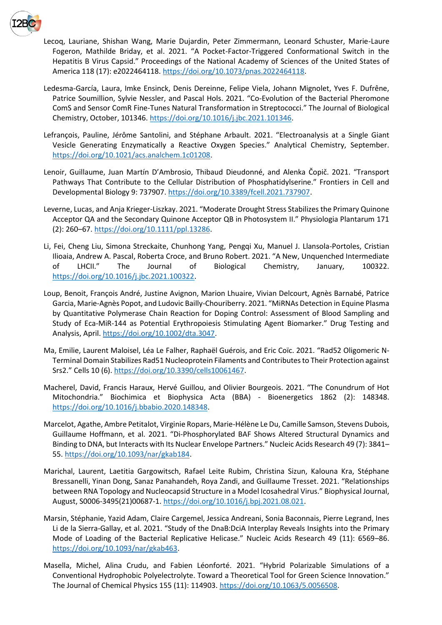

Lecoq, Lauriane, Shishan Wang, Marie Dujardin, Peter Zimmermann, Leonard Schuster, Marie-Laure Fogeron, Mathilde Briday, et al. 2021. "A Pocket-Factor-Triggered Conformational Switch in the Hepatitis B Virus Capsid." Proceedings of the National Academy of Sciences of the United States of America 118 (17): e2022464118. [https://doi.org/10.1073/pnas.2022464118.](https://doi.org/10.1073/pnas.2022464118)

- Ledesma-García, Laura, Imke Ensinck, Denis Dereinne, Felipe Viela, Johann Mignolet, Yves F. Dufrêne, Patrice Soumillion, Sylvie Nessler, and Pascal Hols. 2021. "Co-Evolution of the Bacterial Pheromone ComS and Sensor ComR Fine-Tunes Natural Transformation in Streptococci." The Journal of Biological Chemistry, October, 101346. [https://doi.org/10.1016/j.jbc.2021.101346.](https://doi.org/10.1016/j.jbc.2021.101346)
- Lefrançois, Pauline, Jérôme Santolini, and Stéphane Arbault. 2021. "Electroanalysis at a Single Giant Vesicle Generating Enzymatically a Reactive Oxygen Species." Analytical Chemistry, September. [https://doi.org/10.1021/acs.analchem.1c01208.](https://doi.org/10.1021/acs.analchem.1c01208)
- Lenoir, Guillaume, Juan Martín D'Ambrosio, Thibaud Dieudonné, and Alenka Čopič. 2021. "Transport Pathways That Contribute to the Cellular Distribution of Phosphatidylserine." Frontiers in Cell and Developmental Biology 9: 737907[. https://doi.org/10.3389/fcell.2021.737907.](https://doi.org/10.3389/fcell.2021.737907)
- Leverne, Lucas, and Anja Krieger-Liszkay. 2021. "Moderate Drought Stress Stabilizes the Primary Quinone Acceptor QA and the Secondary Quinone Acceptor QB in Photosystem II." Physiologia Plantarum 171 (2): 260–67. [https://doi.org/10.1111/ppl.13286.](https://doi.org/10.1111/ppl.13286)
- Li, Fei, Cheng Liu, Simona Streckaite, Chunhong Yang, Pengqi Xu, Manuel J. Llansola-Portoles, Cristian Ilioaia, Andrew A. Pascal, Roberta Croce, and Bruno Robert. 2021. "A New, Unquenched Intermediate of LHCII." The Journal of Biological Chemistry, January, 100322. [https://doi.org/10.1016/j.jbc.2021.100322.](https://doi.org/10.1016/j.jbc.2021.100322)
- Loup, Benoit, François André, Justine Avignon, Marion Lhuaire, Vivian Delcourt, Agnès Barnabé, Patrice Garcia, Marie-Agnès Popot, and Ludovic Bailly-Chouriberry. 2021. "MiRNAs Detection in Equine Plasma by Quantitative Polymerase Chain Reaction for Doping Control: Assessment of Blood Sampling and Study of Eca-MiR-144 as Potential Erythropoiesis Stimulating Agent Biomarker." Drug Testing and Analysis, April[. https://doi.org/10.1002/dta.3047.](https://doi.org/10.1002/dta.3047)
- Ma, Emilie, Laurent Maloisel, Léa Le Falher, Raphaël Guérois, and Eric Coïc. 2021. "Rad52 Oligomeric N-Terminal Domain Stabilizes Rad51 Nucleoprotein Filaments and Contributes to Their Protection against Srs2." Cells 10 (6). [https://doi.org/10.3390/cells10061467.](https://doi.org/10.3390/cells10061467)
- Macherel, David, Francis Haraux, Hervé Guillou, and Olivier Bourgeois. 2021. "The Conundrum of Hot Mitochondria." Biochimica et Biophysica Acta (BBA) - Bioenergetics 1862 (2): 148348. [https://doi.org/10.1016/j.bbabio.2020.148348.](https://doi.org/10.1016/j.bbabio.2020.148348)
- Marcelot, Agathe, Ambre Petitalot, Virginie Ropars, Marie-Hélène Le Du, Camille Samson, Stevens Dubois, Guillaume Hoffmann, et al. 2021. "Di-Phosphorylated BAF Shows Altered Structural Dynamics and Binding to DNA, but Interacts with Its Nuclear Envelope Partners." Nucleic Acids Research 49 (7): 3841– 55. [https://doi.org/10.1093/nar/gkab184.](https://doi.org/10.1093/nar/gkab184)
- Marichal, Laurent, Laetitia Gargowitsch, Rafael Leite Rubim, Christina Sizun, Kalouna Kra, Stéphane Bressanelli, Yinan Dong, Sanaz Panahandeh, Roya Zandi, and Guillaume Tresset. 2021. "Relationships between RNA Topology and Nucleocapsid Structure in a Model Icosahedral Virus." Biophysical Journal, August, S0006-3495(21)00687-1. [https://doi.org/10.1016/j.bpj.2021.08.021.](https://doi.org/10.1016/j.bpj.2021.08.021)
- Marsin, Stéphanie, Yazid Adam, Claire Cargemel, Jessica Andreani, Sonia Baconnais, Pierre Legrand, Ines Li de la Sierra-Gallay, et al. 2021. "Study of the DnaB:DciA Interplay Reveals Insights into the Primary Mode of Loading of the Bacterial Replicative Helicase." Nucleic Acids Research 49 (11): 6569–86. [https://doi.org/10.1093/nar/gkab463.](https://doi.org/10.1093/nar/gkab463)
- Masella, Michel, Alina Crudu, and Fabien Léonforté. 2021. "Hybrid Polarizable Simulations of a Conventional Hydrophobic Polyelectrolyte. Toward a Theoretical Tool for Green Science Innovation." The Journal of Chemical Physics 155 (11): 114903. [https://doi.org/10.1063/5.0056508.](https://doi.org/10.1063/5.0056508)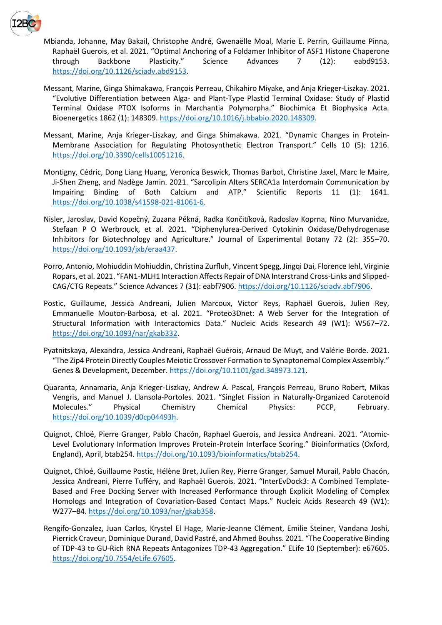

Mbianda, Johanne, May Bakail, Christophe André, Gwenaëlle Moal, Marie E. Perrin, Guillaume Pinna, Raphaël Guerois, et al. 2021. "Optimal Anchoring of a Foldamer Inhibitor of ASF1 Histone Chaperone through Backbone Plasticity." Science Advances 7 (12): eabd9153. [https://doi.org/10.1126/sciadv.abd9153.](https://doi.org/10.1126/sciadv.abd9153)

- Messant, Marine, Ginga Shimakawa, François Perreau, Chikahiro Miyake, and Anja Krieger-Liszkay. 2021. "Evolutive Differentiation between Alga- and Plant-Type Plastid Terminal Oxidase: Study of Plastid Terminal Oxidase PTOX Isoforms in Marchantia Polymorpha." Biochimica Et Biophysica Acta. Bioenergetics 1862 (1): 148309. [https://doi.org/10.1016/j.bbabio.2020.148309.](https://doi.org/10.1016/j.bbabio.2020.148309)
- Messant, Marine, Anja Krieger-Liszkay, and Ginga Shimakawa. 2021. "Dynamic Changes in Protein-Membrane Association for Regulating Photosynthetic Electron Transport." Cells 10 (5): 1216. [https://doi.org/10.3390/cells10051216.](https://doi.org/10.3390/cells10051216)
- Montigny, Cédric, Dong Liang Huang, Veronica Beswick, Thomas Barbot, Christine Jaxel, Marc le Maire, Ji-Shen Zheng, and Nadège Jamin. 2021. "Sarcolipin Alters SERCA1a Interdomain Communication by Impairing Binding of Both Calcium and ATP." Scientific Reports 11 (1): 1641. [https://doi.org/10.1038/s41598-021-81061-6.](https://doi.org/10.1038/s41598-021-81061-6)
- Nisler, Jaroslav, David Kopečný, Zuzana Pěkná, Radka Končitíková, Radoslav Koprna, Nino Murvanidze, Stefaan P O Werbrouck, et al. 2021. "Diphenylurea-Derived Cytokinin Oxidase/Dehydrogenase Inhibitors for Biotechnology and Agriculture." Journal of Experimental Botany 72 (2): 355–70. [https://doi.org/10.1093/jxb/eraa437.](https://doi.org/10.1093/jxb/eraa437)
- Porro, Antonio, Mohiuddin Mohiuddin, Christina Zurfluh, Vincent Spegg, Jingqi Dai, Florence Iehl, Virginie Ropars, et al. 2021. "FAN1-MLH1 Interaction Affects Repair of DNA Interstrand Cross-Links and Slipped-CAG/CTG Repeats." Science Advances 7 (31): eabf7906[. https://doi.org/10.1126/sciadv.abf7906.](https://doi.org/10.1126/sciadv.abf7906)
- Postic, Guillaume, Jessica Andreani, Julien Marcoux, Victor Reys, Raphaël Guerois, Julien Rey, Emmanuelle Mouton-Barbosa, et al. 2021. "Proteo3Dnet: A Web Server for the Integration of Structural Information with Interactomics Data." Nucleic Acids Research 49 (W1): W567–72. [https://doi.org/10.1093/nar/gkab332.](https://doi.org/10.1093/nar/gkab332)
- Pyatnitskaya, Alexandra, Jessica Andreani, Raphaël Guérois, Arnaud De Muyt, and Valérie Borde. 2021. "The Zip4 Protein Directly Couples Meiotic Crossover Formation to Synaptonemal Complex Assembly." Genes & Development, December[. https://doi.org/10.1101/gad.348973.121.](https://doi.org/10.1101/gad.348973.121)
- Quaranta, Annamaria, Anja Krieger-Liszkay, Andrew A. Pascal, François Perreau, Bruno Robert, Mikas Vengris, and Manuel J. Llansola-Portoles. 2021. "Singlet Fission in Naturally-Organized Carotenoid Molecules." Physical Chemistry Chemical Physics: PCCP, February. [https://doi.org/10.1039/d0cp04493h.](https://doi.org/10.1039/d0cp04493h)
- Quignot, Chloé, Pierre Granger, Pablo Chacón, Raphael Guerois, and Jessica Andreani. 2021. "Atomic-Level Evolutionary Information Improves Protein-Protein Interface Scoring." Bioinformatics (Oxford, England), April, btab254. [https://doi.org/10.1093/bioinformatics/btab254.](https://doi.org/10.1093/bioinformatics/btab254)
- Quignot, Chloé, Guillaume Postic, Hélène Bret, Julien Rey, Pierre Granger, Samuel Murail, Pablo Chacón, Jessica Andreani, Pierre Tufféry, and Raphaël Guerois. 2021. "InterEvDock3: A Combined Template-Based and Free Docking Server with Increased Performance through Explicit Modeling of Complex Homologs and Integration of Covariation-Based Contact Maps." Nucleic Acids Research 49 (W1): W277–84. [https://doi.org/10.1093/nar/gkab358.](https://doi.org/10.1093/nar/gkab358)
- Rengifo-Gonzalez, Juan Carlos, Krystel El Hage, Marie-Jeanne Clément, Emilie Steiner, Vandana Joshi, Pierrick Craveur, Dominique Durand, David Pastré, and Ahmed Bouhss. 2021. "The Cooperative Binding of TDP-43 to GU-Rich RNA Repeats Antagonizes TDP-43 Aggregation." ELife 10 (September): e67605. [https://doi.org/10.7554/eLife.67605.](https://doi.org/10.7554/eLife.67605)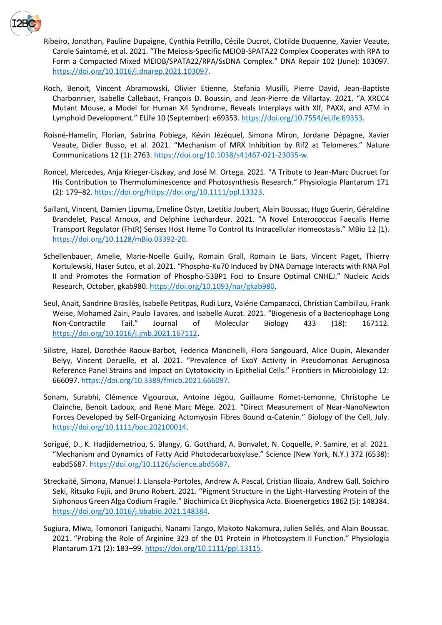

Ribeiro, Jonathan, Pauline Dupaigne, Cynthia Petrillo, Cécile Ducrot, Clotilde Duquenne, Xavier Veaute, Carole Saintomé, et al. 2021. "The Meiosis-Specific MEIOB-SPATA22 Complex Cooperates with RPA to Form a Compacted Mixed MEIOB/SPATA22/RPA/SsDNA Complex." DNA Repair 102 (June): 103097. [https://doi.org/10.1016/j.dnarep.2021.103097.](https://doi.org/10.1016/j.dnarep.2021.103097)

- Roch, Benoit, Vincent Abramowski, Olivier Etienne, Stefania Musilli, Pierre David, Jean-Baptiste Charbonnier, Isabelle Callebaut, François D. Boussin, and Jean-Pierre de Villartay. 2021. "A XRCC4 Mutant Mouse, a Model for Human X4 Syndrome, Reveals Interplays with Xlf, PAXX, and ATM in Lymphoid Development." ELife 10 (September): e69353. [https://doi.org/10.7554/eLife.69353.](https://doi.org/10.7554/eLife.69353)
- Roisné-Hamelin, Florian, Sabrina Pobiega, Kévin Jézéquel, Simona Miron, Jordane Dépagne, Xavier Veaute, Didier Busso, et al. 2021. "Mechanism of MRX Inhibition by Rif2 at Telomeres." Nature Communications 12 (1): 2763[. https://doi.org/10.1038/s41467-021-23035-w.](https://doi.org/10.1038/s41467-021-23035-w)
- Roncel, Mercedes, Anja Krieger‐Liszkay, and José M. Ortega. 2021. "A Tribute to Jean-Marc Ducruet for His Contribution to Thermoluminescence and Photosynthesis Research." Physiologia Plantarum 171 (2): 179–82. [https://doi.org/https://doi.org/10.1111/ppl.13323.](https://doi.org/https:/doi.org/10.1111/ppl.13323)
- Saillant, Vincent, Damien Lipuma, Emeline Ostyn, Laetitia Joubert, Alain Boussac, Hugo Guerin, Géraldine Brandelet, Pascal Arnoux, and Delphine Lechardeur. 2021. "A Novel Enterococcus Faecalis Heme Transport Regulator (FhtR) Senses Host Heme To Control Its Intracellular Homeostasis." MBio 12 (1). [https://doi.org/10.1128/mBio.03392-20.](https://doi.org/10.1128/mBio.03392-20)
- Schellenbauer, Amelie, Marie-Noelle Guilly, Romain Grall, Romain Le Bars, Vincent Paget, Thierry Kortulewski, Haser Sutcu, et al. 2021. "Phospho-Ku70 Induced by DNA Damage Interacts with RNA Pol II and Promotes the Formation of Phospho-53BP1 Foci to Ensure Optimal CNHEJ." Nucleic Acids Research, October, gkab980. [https://doi.org/10.1093/nar/gkab980.](https://doi.org/10.1093/nar/gkab980)
- Seul, Anait, Sandrine Brasilès, Isabelle Petitpas, Rudi Lurz, Valérie Campanacci, Christian Cambillau, Frank Weise, Mohamed Zairi, Paulo Tavares, and Isabelle Auzat. 2021. "Biogenesis of a Bacteriophage Long Non-Contractile Tail." Journal of Molecular Biology 433 (18): 167112. [https://doi.org/10.1016/j.jmb.2021.167112.](https://doi.org/10.1016/j.jmb.2021.167112)
- Silistre, Hazel, Dorothée Raoux-Barbot, Federica Mancinelli, Flora Sangouard, Alice Dupin, Alexander Belyy, Vincent Deruelle, et al. 2021. "Prevalence of ExoY Activity in Pseudomonas Aeruginosa Reference Panel Strains and Impact on Cytotoxicity in Epithelial Cells." Frontiers in Microbiology 12: 666097[. https://doi.org/10.3389/fmicb.2021.666097.](https://doi.org/10.3389/fmicb.2021.666097)
- Sonam, Surabhi, Clémence Vigouroux, Antoine Jégou, Guillaume Romet-Lemonne, Christophe Le Clainche, Benoit Ladoux, and René Marc Mège. 2021. "Direct Measurement of Near-NanoNewton Forces Developed by Self-Organizing Actomyosin Fibres Bound α-Catenin." Biology of the Cell, July. [https://doi.org/10.1111/boc.202100014.](https://doi.org/10.1111/boc.202100014)
- Sorigué, D., K. Hadjidemetriou, S. Blangy, G. Gotthard, A. Bonvalet, N. Coquelle, P. Samire, et al. 2021. "Mechanism and Dynamics of Fatty Acid Photodecarboxylase." Science (New York, N.Y.) 372 (6538): eabd5687[. https://doi.org/10.1126/science.abd5687.](https://doi.org/10.1126/science.abd5687)
- Streckaité, Simona, Manuel J. Llansola-Portoles, Andrew A. Pascal, Cristian Ilioaia, Andrew Gall, Soichiro Seki, Ritsuko Fujii, and Bruno Robert. 2021. "Pigment Structure in the Light-Harvesting Protein of the Siphonous Green Alga Codium Fragile." Biochimica Et Biophysica Acta. Bioenergetics 1862 (5): 148384. [https://doi.org/10.1016/j.bbabio.2021.148384.](https://doi.org/10.1016/j.bbabio.2021.148384)
- Sugiura, Miwa, Tomonori Taniguchi, Nanami Tango, Makoto Nakamura, Julien Sellés, and Alain Boussac. 2021. "Probing the Role of Arginine 323 of the D1 Protein in Photosystem II Function." Physiologia Plantarum 171 (2): 183–99[. https://doi.org/10.1111/ppl.13115.](https://doi.org/10.1111/ppl.13115)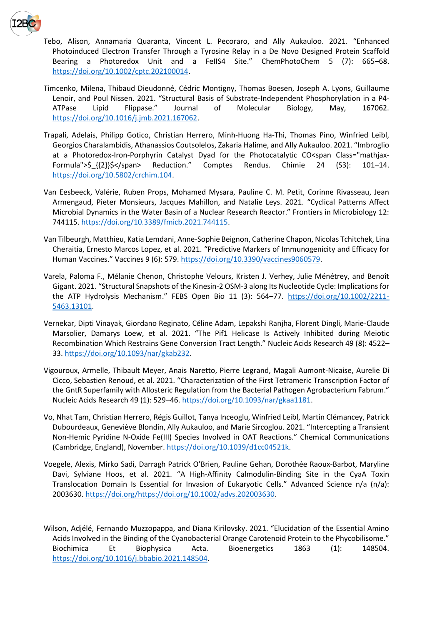

Tebo, Alison, Annamaria Quaranta, Vincent L. Pecoraro, and Ally Aukauloo. 2021. "Enhanced Photoinduced Electron Transfer Through a Tyrosine Relay in a De Novo Designed Protein Scaffold Bearing a Photoredox Unit and a FeIIS4 Site." ChemPhotoChem 5 (7): 665–68. [https://doi.org/10.1002/cptc.202100014.](https://doi.org/10.1002/cptc.202100014)

Timcenko, Milena, Thibaud Dieudonné, Cédric Montigny, Thomas Boesen, Joseph A. Lyons, Guillaume Lenoir, and Poul Nissen. 2021. "Structural Basis of Substrate-Independent Phosphorylation in a P4- ATPase Lipid Flippase." Journal of Molecular Biology, May, 167062. [https://doi.org/10.1016/j.jmb.2021.167062.](https://doi.org/10.1016/j.jmb.2021.167062)

- Trapali, Adelais, Philipp Gotico, Christian Herrero, Minh-Huong Ha-Thi, Thomas Pino, Winfried Leibl, Georgios Charalambidis, Athanassios Coutsolelos, Zakaria Halime, and Ally Aukauloo. 2021. "Imbroglio at a Photoredox-Iron-Porphyrin Catalyst Dyad for the Photocatalytic CO<span Class="mathjax-Formula">\$ {{2}}\$</span> Reduction." Comptes Rendus. Chimie 24 (S3): 101-14. [https://doi.org/10.5802/crchim.104.](https://doi.org/10.5802/crchim.104)
- Van Eesbeeck, Valérie, Ruben Props, Mohamed Mysara, Pauline C. M. Petit, Corinne Rivasseau, Jean Armengaud, Pieter Monsieurs, Jacques Mahillon, and Natalie Leys. 2021. "Cyclical Patterns Affect Microbial Dynamics in the Water Basin of a Nuclear Research Reactor." Frontiers in Microbiology 12: 744115[. https://doi.org/10.3389/fmicb.2021.744115.](https://doi.org/10.3389/fmicb.2021.744115)
- Van Tilbeurgh, Matthieu, Katia Lemdani, Anne-Sophie Beignon, Catherine Chapon, Nicolas Tchitchek, Lina Cheraitia, Ernesto Marcos Lopez, et al. 2021. "Predictive Markers of Immunogenicity and Efficacy for Human Vaccines." Vaccines 9 (6): 579. [https://doi.org/10.3390/vaccines9060579.](https://doi.org/10.3390/vaccines9060579)
- Varela, Paloma F., Mélanie Chenon, Christophe Velours, Kristen J. Verhey, Julie Ménétrey, and Benoît Gigant. 2021. "Structural Snapshots of the Kinesin-2 OSM-3 along Its Nucleotide Cycle: Implications for the ATP Hydrolysis Mechanism." FEBS Open Bio 11 (3): 564–77. [https://doi.org/10.1002/2211-](https://doi.org/10.1002/2211-5463.13101) [5463.13101.](https://doi.org/10.1002/2211-5463.13101)
- Vernekar, Dipti Vinayak, Giordano Reginato, Céline Adam, Lepakshi Ranjha, Florent Dingli, Marie-Claude Marsolier, Damarys Loew, et al. 2021. "The Pif1 Helicase Is Actively Inhibited during Meiotic Recombination Which Restrains Gene Conversion Tract Length." Nucleic Acids Research 49 (8): 4522– 33. [https://doi.org/10.1093/nar/gkab232.](https://doi.org/10.1093/nar/gkab232)
- Vigouroux, Armelle, Thibault Meyer, Anais Naretto, Pierre Legrand, Magali Aumont-Nicaise, Aurelie Di Cicco, Sebastien Renoud, et al. 2021. "Characterization of the First Tetrameric Transcription Factor of the GntR Superfamily with Allosteric Regulation from the Bacterial Pathogen Agrobacterium Fabrum." Nucleic Acids Research 49 (1): 529–46. [https://doi.org/10.1093/nar/gkaa1181.](https://doi.org/10.1093/nar/gkaa1181)
- Vo, Nhat Tam, Christian Herrero, Régis Guillot, Tanya Inceoglu, Winfried Leibl, Martin Clémancey, Patrick Dubourdeaux, Geneviève Blondin, Ally Aukauloo, and Marie Sircoglou. 2021. "Intercepting a Transient Non-Hemic Pyridine N-Oxide Fe(III) Species Involved in OAT Reactions." Chemical Communications (Cambridge, England), November[. https://doi.org/10.1039/d1cc04521k.](https://doi.org/10.1039/d1cc04521k)
- Voegele, Alexis, Mirko Sadi, Darragh Patrick O'Brien, Pauline Gehan, Dorothée Raoux‐Barbot, Maryline Davi, Sylviane Hoos, et al. 2021. "A High-Affinity Calmodulin-Binding Site in the CyaA Toxin Translocation Domain Is Essential for Invasion of Eukaryotic Cells." Advanced Science n/a (n/a): 2003630. [https://doi.org/https://doi.org/10.1002/advs.202003630.](https://doi.org/https:/doi.org/10.1002/advs.202003630)
- Wilson, Adjélé, Fernando Muzzopappa, and Diana Kirilovsky. 2021. "Elucidation of the Essential Amino Acids Involved in the Binding of the Cyanobacterial Orange Carotenoid Protein to the Phycobilisome." Biochimica Et Biophysica Acta. Bioenergetics 1863 (1): 148504. [https://doi.org/10.1016/j.bbabio.2021.148504.](https://doi.org/10.1016/j.bbabio.2021.148504)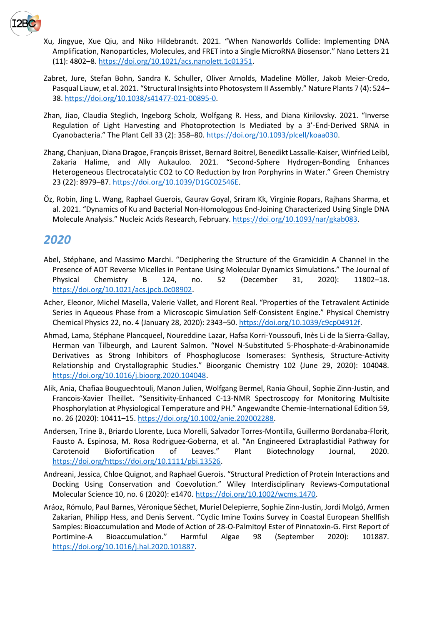

- Xu, Jingyue, Xue Qiu, and Niko Hildebrandt. 2021. "When Nanoworlds Collide: Implementing DNA Amplification, Nanoparticles, Molecules, and FRET into a Single MicroRNA Biosensor." Nano Letters 21 (11): 4802–8[. https://doi.org/10.1021/acs.nanolett.1c01351.](https://doi.org/10.1021/acs.nanolett.1c01351)
- Zabret, Jure, Stefan Bohn, Sandra K. Schuller, Oliver Arnolds, Madeline Möller, Jakob Meier-Credo, Pasqual Liauw, et al. 2021. "Structural Insights into Photosystem II Assembly." Nature Plants 7 (4): 524– 38. [https://doi.org/10.1038/s41477-021-00895-0.](https://doi.org/10.1038/s41477-021-00895-0)
- Zhan, Jiao, Claudia Steglich, Ingeborg Scholz, Wolfgang R. Hess, and Diana Kirilovsky. 2021. "Inverse Regulation of Light Harvesting and Photoprotection Is Mediated by a 3'-End-Derived SRNA in Cyanobacteria." The Plant Cell 33 (2): 358–80. [https://doi.org/10.1093/plcell/koaa030.](https://doi.org/10.1093/plcell/koaa030)
- Zhang, Chanjuan, Diana Dragoe, François Brisset, Bernard Boitrel, Benedikt Lassalle-Kaiser, Winfried Leibl, Zakaria Halime, and Ally Aukauloo. 2021. "Second-Sphere Hydrogen-Bonding Enhances Heterogeneous Electrocatalytic CO2 to CO Reduction by Iron Porphyrins in Water." Green Chemistry 23 (22): 8979–87. [https://doi.org/10.1039/D1GC02546E.](https://doi.org/10.1039/D1GC02546E)
- Öz, Robin, Jing L. Wang, Raphael Guerois, Gaurav Goyal, Sriram Kk, Virginie Ropars, Rajhans Sharma, et al. 2021. "Dynamics of Ku and Bacterial Non-Homologous End-Joining Characterized Using Single DNA Molecule Analysis." Nucleic Acids Research, February. [https://doi.org/10.1093/nar/gkab083.](https://doi.org/10.1093/nar/gkab083)

## *2020*

- Abel, Stéphane, and Massimo Marchi. "Deciphering the Structure of the Gramicidin A Channel in the Presence of AOT Reverse Micelles in Pentane Using Molecular Dynamics Simulations." The Journal of Physical Chemistry B 124, no. 52 (December 31, 2020): 11802–18. [https://doi.org/10.1021/acs.jpcb.0c08902.](https://doi.org/10.1021/acs.jpcb.0c08902)
- Acher, Eleonor, Michel Masella, Valerie Vallet, and Florent Real. "Properties of the Tetravalent Actinide Series in Aqueous Phase from a Microscopic Simulation Self-Consistent Engine." Physical Chemistry Chemical Physics 22, no. 4 (January 28, 2020): 2343–50. [https://doi.org/10.1039/c9cp04912f.](https://doi.org/10.1039/c9cp04912f)
- Ahmad, Lama, Stéphane Plancqueel, Noureddine Lazar, Hafsa Korri-Youssoufi, Inès Li de la Sierra-Gallay, Herman van Tilbeurgh, and Laurent Salmon. "Novel N-Substituted 5-Phosphate-d-Arabinonamide Derivatives as Strong Inhibitors of Phosphoglucose Isomerases: Synthesis, Structure-Activity Relationship and Crystallographic Studies." Bioorganic Chemistry 102 (June 29, 2020): 104048. [https://doi.org/10.1016/j.bioorg.2020.104048.](https://doi.org/10.1016/j.bioorg.2020.104048)
- Alik, Ania, Chafiaa Bouguechtouli, Manon Julien, Wolfgang Bermel, Rania Ghouil, Sophie Zinn-Justin, and Francois-Xavier Theillet. "Sensitivity-Enhanced C-13-NMR Spectroscopy for Monitoring Multisite Phosphorylation at Physiological Temperature and PH." Angewandte Chemie-International Edition 59, no. 26 (2020): 10411–15[. https://doi.org/10.1002/anie.202002288.](https://doi.org/10.1002/anie.202002288)
- Andersen, Trine B., Briardo Llorente, Luca Morelli, Salvador Torres‐Montilla, Guillermo Bordanaba‐Florit, Fausto A. Espinosa, M. Rosa Rodriguez‐Goberna, et al. "An Engineered Extraplastidial Pathway for Carotenoid Biofortification of Leaves." Plant Biotechnology Journal, 2020. [https://doi.org/https://doi.org/10.1111/pbi.13526.](https://doi.org/https:/doi.org/10.1111/pbi.13526)
- Andreani, Jessica, Chloe Quignot, and Raphael Guerois. "Structural Prediction of Protein Interactions and Docking Using Conservation and Coevolution." Wiley Interdisciplinary Reviews-Computational Molecular Science 10, no. 6 (2020): e1470. [https://doi.org/10.1002/wcms.1470.](https://doi.org/10.1002/wcms.1470)
- Aráoz, Rómulo, Paul Barnes, Véronique Séchet, Muriel Delepierre, Sophie Zinn-Justin, Jordi Molgó, Armen Zakarian, Philipp Hess, and Denis Servent. "Cyclic Imine Toxins Survey in Coastal European Shellfish Samples: Bioaccumulation and Mode of Action of 28-O-Palmitoyl Ester of Pinnatoxin-G. First Report of Portimine-A Bioaccumulation." Harmful Algae 98 (September 2020): 101887. [https://doi.org/10.1016/j.hal.2020.101887.](https://doi.org/10.1016/j.hal.2020.101887)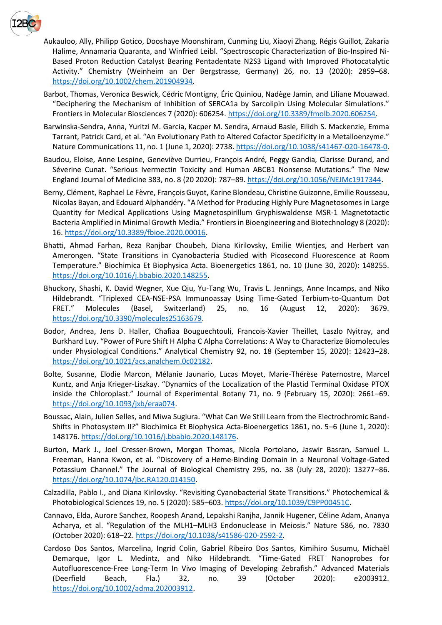

- Aukauloo, Ally, Philipp Gotico, Dooshaye Moonshiram, Cunming Liu, Xiaoyi Zhang, Régis Guillot, Zakaria Halime, Annamaria Quaranta, and Winfried Leibl. "Spectroscopic Characterization of Bio-Inspired Ni-Based Proton Reduction Catalyst Bearing Pentadentate N2S3 Ligand with Improved Photocatalytic Activity." Chemistry (Weinheim an Der Bergstrasse, Germany) 26, no. 13 (2020): 2859–68. [https://doi.org/10.1002/chem.201904934.](https://doi.org/10.1002/chem.201904934)
- Barbot, Thomas, Veronica Beswick, Cédric Montigny, Éric Quiniou, Nadège Jamin, and Liliane Mouawad. "Deciphering the Mechanism of Inhibition of SERCA1a by Sarcolipin Using Molecular Simulations." Frontiers in Molecular Biosciences 7 (2020): 606254. [https://doi.org/10.3389/fmolb.2020.606254.](https://doi.org/10.3389/fmolb.2020.606254)
- Barwinska-Sendra, Anna, Yuritzi M. Garcia, Kacper M. Sendra, Arnaud Basle, Eilidh S. Mackenzie, Emma Tarrant, Patrick Card, et al. "An Evolutionary Path to Altered Cofactor Specificity in a Metalloenzyme." Nature Communications 11, no. 1 (June 1, 2020): 2738. [https://doi.org/10.1038/s41467-020-16478-0.](https://doi.org/10.1038/s41467-020-16478-0)
- Baudou, Eloise, Anne Lespine, Geneviève Durrieu, François André, Peggy Gandia, Clarisse Durand, and Séverine Cunat. "Serious Ivermectin Toxicity and Human ABCB1 Nonsense Mutations." The New England Journal of Medicine 383, no. 8 (20 2020): 787–89[. https://doi.org/10.1056/NEJMc1917344.](https://doi.org/10.1056/NEJMc1917344)
- Berny, Clément, Raphael Le Fèvre, François Guyot, Karine Blondeau, Christine Guizonne, Emilie Rousseau, Nicolas Bayan, and Edouard Alphandéry. "A Method for Producing Highly Pure Magnetosomes in Large Quantity for Medical Applications Using Magnetospirillum Gryphiswaldense MSR-1 Magnetotactic Bacteria Amplified in Minimal Growth Media." Frontiers in Bioengineering and Biotechnology 8 (2020): 16. [https://doi.org/10.3389/fbioe.2020.00016.](https://doi.org/10.3389/fbioe.2020.00016)
- Bhatti, Ahmad Farhan, Reza Ranjbar Choubeh, Diana Kirilovsky, Emilie Wientjes, and Herbert van Amerongen. "State Transitions in Cyanobacteria Studied with Picosecond Fluorescence at Room Temperature." Biochimica Et Biophysica Acta. Bioenergetics 1861, no. 10 (June 30, 2020): 148255. [https://doi.org/10.1016/j.bbabio.2020.148255.](https://doi.org/10.1016/j.bbabio.2020.148255)
- Bhuckory, Shashi, K. David Wegner, Xue Qiu, Yu-Tang Wu, Travis L. Jennings, Anne Incamps, and Niko Hildebrandt. "Triplexed CEA-NSE-PSA Immunoassay Using Time-Gated Terbium-to-Quantum Dot FRET." Molecules (Basel, Switzerland) 25, no. 16 (August 12, 2020): 3679. [https://doi.org/10.3390/molecules25163679.](https://doi.org/10.3390/molecules25163679)
- Bodor, Andrea, Jens D. Haller, Chafiaa Bouguechtouli, Francois-Xavier Theillet, Laszlo Nyitray, and Burkhard Luy. "Power of Pure Shift H Alpha C Alpha Correlations: A Way to Characterize Biomolecules under Physiological Conditions." Analytical Chemistry 92, no. 18 (September 15, 2020): 12423–28. [https://doi.org/10.1021/acs.analchem.0c02182.](https://doi.org/10.1021/acs.analchem.0c02182)
- Bolte, Susanne, Elodie Marcon, Mélanie Jaunario, Lucas Moyet, Marie-Thérèse Paternostre, Marcel Kuntz, and Anja Krieger-Liszkay. "Dynamics of the Localization of the Plastid Terminal Oxidase PTOX inside the Chloroplast." Journal of Experimental Botany 71, no. 9 (February 15, 2020): 2661–69. [https://doi.org/10.1093/jxb/eraa074.](https://doi.org/10.1093/jxb/eraa074)
- Boussac, Alain, Julien Selles, and Miwa Sugiura. "What Can We Still Learn from the Electrochromic Band-Shifts in Photosystem II?" Biochimica Et Biophysica Acta-Bioenergetics 1861, no. 5–6 (June 1, 2020): 148176[. https://doi.org/10.1016/j.bbabio.2020.148176.](https://doi.org/10.1016/j.bbabio.2020.148176)
- Burton, Mark J., Joel Cresser-Brown, Morgan Thomas, Nicola Portolano, Jaswir Basran, Samuel L. Freeman, Hanna Kwon, et al. "Discovery of a Heme-Binding Domain in a Neuronal Voltage-Gated Potassium Channel." The Journal of Biological Chemistry 295, no. 38 (July 28, 2020): 13277–86. [https://doi.org/10.1074/jbc.RA120.014150.](https://doi.org/10.1074/jbc.RA120.014150)
- Calzadilla, Pablo I., and Diana Kirilovsky. "Revisiting Cyanobacterial State Transitions." Photochemical & Photobiological Sciences 19, no. 5 (2020): 585–603. [https://doi.org/10.1039/C9PP00451C.](https://doi.org/10.1039/C9PP00451C)
- Cannavo, Elda, Aurore Sanchez, Roopesh Anand, Lepakshi Ranjha, Jannik Hugener, Céline Adam, Ananya Acharya, et al. "Regulation of the MLH1–MLH3 Endonuclease in Meiosis." Nature 586, no. 7830 (October 2020): 618–22. [https://doi.org/10.1038/s41586-020-2592-2.](https://doi.org/10.1038/s41586-020-2592-2)
- Cardoso Dos Santos, Marcelina, Ingrid Colin, Gabriel Ribeiro Dos Santos, Kimihiro Susumu, Michaël Demarque, Igor L. Medintz, and Niko Hildebrandt. "Time-Gated FRET Nanoprobes for Autofluorescence-Free Long-Term In Vivo Imaging of Developing Zebrafish." Advanced Materials (Deerfield Beach, Fla.) 32, no. 39 (October 2020): e2003912. [https://doi.org/10.1002/adma.202003912.](https://doi.org/10.1002/adma.202003912)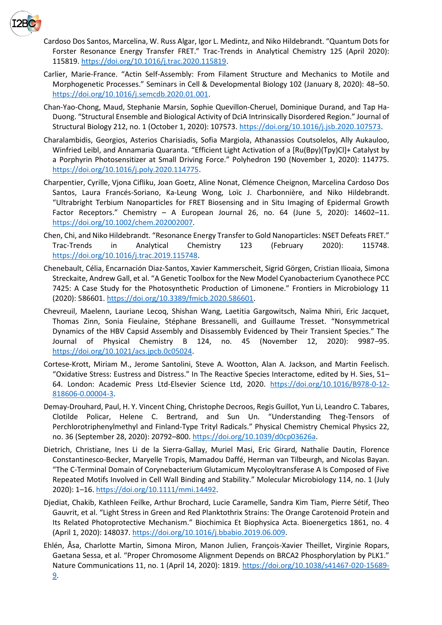

- Cardoso Dos Santos, Marcelina, W. Russ Algar, Igor L. Medintz, and Niko Hildebrandt. "Quantum Dots for Forster Resonance Energy Transfer FRET." Trac-Trends in Analytical Chemistry 125 (April 2020): 115819[. https://doi.org/10.1016/j.trac.2020.115819.](https://doi.org/10.1016/j.trac.2020.115819)
- Carlier, Marie-France. "Actin Self-Assembly: From Filament Structure and Mechanics to Motile and Morphogenetic Processes." Seminars in Cell & Developmental Biology 102 (January 8, 2020): 48–50. [https://doi.org/10.1016/j.semcdb.2020.01.001.](https://doi.org/10.1016/j.semcdb.2020.01.001)
- Chan-Yao-Chong, Maud, Stephanie Marsin, Sophie Quevillon-Cheruel, Dominique Durand, and Tap Ha-Duong. "Structural Ensemble and Biological Activity of DciA Intrinsically Disordered Region." Journal of Structural Biology 212, no. 1 (October 1, 2020): 107573. [https://doi.org/10.1016/j.jsb.2020.107573.](https://doi.org/10.1016/j.jsb.2020.107573)
- Charalambidis, Georgios, Asterios Charisiadis, Sofia Margiola, Athanassios Coutsolelos, Ally Aukauloo, Winfried Leibl, and Annamaria Quaranta. "Efficient Light Activation of a [Ru(Bpy)(Tpy)Cl]+ Catalyst by a Porphyrin Photosensitizer at Small Driving Force." Polyhedron 190 (November 1, 2020): 114775. [https://doi.org/10.1016/j.poly.2020.114775.](https://doi.org/10.1016/j.poly.2020.114775)
- Charpentier, Cyrille, Vjona Cifliku, Joan Goetz, Aline Nonat, Clémence Cheignon, Marcelina Cardoso Dos Santos, Laura Francés-Soriano, Ka-Leung Wong, Loïc J. Charbonnière, and Niko Hildebrandt. "Ultrabright Terbium Nanoparticles for FRET Biosensing and in Situ Imaging of Epidermal Growth Factor Receptors." Chemistry – A European Journal 26, no. 64 (June 5, 2020): 14602–11. [https://doi.org/10.1002/chem.202002007.](https://doi.org/10.1002/chem.202002007)
- Chen, Chi, and Niko Hildebrandt. "Resonance Energy Transfer to Gold Nanoparticles: NSET Defeats FRET." Trac-Trends in Analytical Chemistry 123 (February 2020): 115748. [https://doi.org/10.1016/j.trac.2019.115748.](https://doi.org/10.1016/j.trac.2019.115748)
- Chenebault, Célia, Encarnación Diaz-Santos, Xavier Kammerscheit, Sigrid Görgen, Cristian Ilioaia, Simona Streckaite, Andrew Gall, et al. "A Genetic Toolbox for the New Model Cyanobacterium Cyanothece PCC 7425: A Case Study for the Photosynthetic Production of Limonene." Frontiers in Microbiology 11 (2020): 586601. [https://doi.org/10.3389/fmicb.2020.586601.](https://doi.org/10.3389/fmicb.2020.586601)
- Chevreuil, Maelenn, Lauriane Lecoq, Shishan Wang, Laetitia Gargowitsch, Naïma Nhiri, Eric Jacquet, Thomas Zinn, Sonia Fieulaine, Stéphane Bressanelli, and Guillaume Tresset. "Nonsymmetrical Dynamics of the HBV Capsid Assembly and Disassembly Evidenced by Their Transient Species." The Journal of Physical Chemistry B 124, no. 45 (November 12, 2020): 9987–95. [https://doi.org/10.1021/acs.jpcb.0c05024.](https://doi.org/10.1021/acs.jpcb.0c05024)
- Cortese-Krott, Miriam M., Jerome Santolini, Steve A. Wootton, Alan A. Jackson, and Martin Feelisch. "Oxidative Stress: Eustress and Distress." In The Reactive Species Interactome, edited by H. Sies, 51– 64. London: Academic Press Ltd-Elsevier Science Ltd, 2020. [https://doi.org/10.1016/B978-0-12-](https://doi.org/10.1016/B978-0-12-818606-0.00004-3) [818606-0.00004-3.](https://doi.org/10.1016/B978-0-12-818606-0.00004-3)
- Demay-Drouhard, Paul, H. Y. Vincent Ching, Christophe Decroos, Regis Guillot, Yun Li, Leandro C. Tabares, Clotilde Policar, Helene C. Bertrand, and Sun Un. "Understanding Theg-Tensors of Perchlorotriphenylmethyl and Finland-Type Trityl Radicals." Physical Chemistry Chemical Physics 22, no. 36 (September 28, 2020): 20792–800. [https://doi.org/10.1039/d0cp03626a.](https://doi.org/10.1039/d0cp03626a)
- Dietrich, Christiane, Ines Li de la Sierra-Gallay, Muriel Masi, Eric Girard, Nathalie Dautin, Florence Constantinesco-Becker, Maryelle Tropis, Mamadou Daffé, Herman van Tilbeurgh, and Nicolas Bayan. "The C-Terminal Domain of Corynebacterium Glutamicum Mycoloyltransferase A Is Composed of Five Repeated Motifs Involved in Cell Wall Binding and Stability." Molecular Microbiology 114, no. 1 (July 2020): 1–16. [https://doi.org/10.1111/mmi.14492.](https://doi.org/10.1111/mmi.14492)
- Djediat, Chakib, Kathleen Feilke, Arthur Brochard, Lucie Caramelle, Sandra Kim Tiam, Pierre Sétif, Theo Gauvrit, et al. "Light Stress in Green and Red Planktothrix Strains: The Orange Carotenoid Protein and Its Related Photoprotective Mechanism." Biochimica Et Biophysica Acta. Bioenergetics 1861, no. 4 (April 1, 2020): 148037. [https://doi.org/10.1016/j.bbabio.2019.06.009.](https://doi.org/10.1016/j.bbabio.2019.06.009)
- Ehlén, Åsa, Charlotte Martin, Simona Miron, Manon Julien, François-Xavier Theillet, Virginie Ropars, Gaetana Sessa, et al. "Proper Chromosome Alignment Depends on BRCA2 Phosphorylation by PLK1." Nature Communications 11, no. 1 (April 14, 2020): 1819. [https://doi.org/10.1038/s41467-020-15689-](https://doi.org/10.1038/s41467-020-15689-9) [9.](https://doi.org/10.1038/s41467-020-15689-9)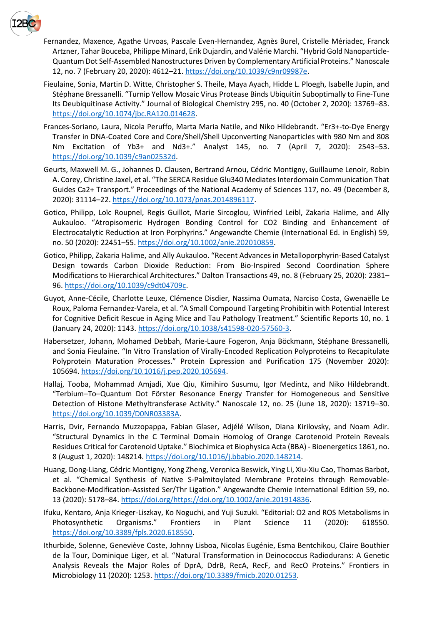

- Fernandez, Maxence, Agathe Urvoas, Pascale Even-Hernandez, Agnès Burel, Cristelle Mériadec, Franck Artzner, Tahar Bouceba, Philippe Minard, Erik Dujardin, and Valérie Marchi. "Hybrid Gold Nanoparticle-Quantum Dot Self-Assembled Nanostructures Driven by Complementary Artificial Proteins." Nanoscale 12, no. 7 (February 20, 2020): 4612–21[. https://doi.org/10.1039/c9nr09987e.](https://doi.org/10.1039/c9nr09987e)
- Fieulaine, Sonia, Martin D. Witte, Christopher S. Theile, Maya Ayach, Hidde L. Ploegh, Isabelle Jupin, and Stéphane Bressanelli. "Turnip Yellow Mosaic Virus Protease Binds Ubiquitin Suboptimally to Fine-Tune Its Deubiquitinase Activity." Journal of Biological Chemistry 295, no. 40 (October 2, 2020): 13769–83. [https://doi.org/10.1074/jbc.RA120.014628.](https://doi.org/10.1074/jbc.RA120.014628)
- Frances-Soriano, Laura, Nicola Peruffo, Marta Maria Natile, and Niko Hildebrandt. "Er3+-to-Dye Energy Transfer in DNA-Coated Core and Core/Shell/Shell Upconverting Nanoparticles with 980 Nm and 808 Nm Excitation of Yb3+ and Nd3+." Analyst 145, no. 7 (April 7, 2020): 2543–53. [https://doi.org/10.1039/c9an02532d.](https://doi.org/10.1039/c9an02532d)
- Geurts, Maxwell M. G., Johannes D. Clausen, Bertrand Arnou, Cédric Montigny, Guillaume Lenoir, Robin A. Corey, Christine Jaxel, et al. "The SERCA Residue Glu340 Mediates Interdomain Communication That Guides Ca2+ Transport." Proceedings of the National Academy of Sciences 117, no. 49 (December 8, 2020): 31114–22[. https://doi.org/10.1073/pnas.2014896117.](https://doi.org/10.1073/pnas.2014896117)
- Gotico, Philipp, Loïc Roupnel, Regis Guillot, Marie Sircoglou, Winfried Leibl, Zakaria Halime, and Ally Aukauloo. "Atropisomeric Hydrogen Bonding Control for CO2 Binding and Enhancement of Electrocatalytic Reduction at Iron Porphyrins." Angewandte Chemie (International Ed. in English) 59, no. 50 (2020): 22451–55[. https://doi.org/10.1002/anie.202010859.](https://doi.org/10.1002/anie.202010859)
- Gotico, Philipp, Zakaria Halime, and Ally Aukauloo. "Recent Advances in Metalloporphyrin-Based Catalyst Design towards Carbon Dioxide Reduction: From Bio-Inspired Second Coordination Sphere Modifications to Hierarchical Architectures." Dalton Transactions 49, no. 8 (February 25, 2020): 2381– 96. [https://doi.org/10.1039/c9dt04709c.](https://doi.org/10.1039/c9dt04709c)
- Guyot, Anne-Cécile, Charlotte Leuxe, Clémence Disdier, Nassima Oumata, Narciso Costa, Gwenaëlle Le Roux, Paloma Fernandez-Varela, et al. "A Small Compound Targeting Prohibitin with Potential Interest for Cognitive Deficit Rescue in Aging Mice and Tau Pathology Treatment." Scientific Reports 10, no. 1 (January 24, 2020): 1143. [https://doi.org/10.1038/s41598-020-57560-3.](https://doi.org/10.1038/s41598-020-57560-3)
- Habersetzer, Johann, Mohamed Debbah, Marie-Laure Fogeron, Anja Böckmann, Stéphane Bressanelli, and Sonia Fieulaine. "In Vitro Translation of Virally-Encoded Replication Polyproteins to Recapitulate Polyprotein Maturation Processes." Protein Expression and Purification 175 (November 2020): 105694[. https://doi.org/10.1016/j.pep.2020.105694.](https://doi.org/10.1016/j.pep.2020.105694)
- Hallaj, Tooba, Mohammad Amjadi, Xue Qiu, Kimihiro Susumu, Igor Medintz, and Niko Hildebrandt. "Terbium–To–Quantum Dot Förster Resonance Energy Transfer for Homogeneous and Sensitive Detection of Histone Methyltransferase Activity." Nanoscale 12, no. 25 (June 18, 2020): 13719–30. [https://doi.org/10.1039/D0NR03383A.](https://doi.org/10.1039/D0NR03383A)
- Harris, Dvir, Fernando Muzzopappa, Fabian Glaser, Adjélé Wilson, Diana Kirilovsky, and Noam Adir. "Structural Dynamics in the C Terminal Domain Homolog of Orange Carotenoid Protein Reveals Residues Critical for Carotenoid Uptake." Biochimica et Biophysica Acta (BBA) - Bioenergetics 1861, no. 8 (August 1, 2020): 148214. [https://doi.org/10.1016/j.bbabio.2020.148214.](https://doi.org/10.1016/j.bbabio.2020.148214)
- Huang, Dong-Liang, Cédric Montigny, Yong Zheng, Veronica Beswick, Ying Li, Xiu-Xiu Cao, Thomas Barbot, et al. "Chemical Synthesis of Native S-Palmitoylated Membrane Proteins through Removable-Backbone-Modification-Assisted Ser/Thr Ligation." Angewandte Chemie International Edition 59, no. 13 (2020): 5178–84. [https://doi.org/https://doi.org/10.1002/anie.201914836.](https://doi.org/https:/doi.org/10.1002/anie.201914836)
- Ifuku, Kentaro, Anja Krieger-Liszkay, Ko Noguchi, and Yuji Suzuki. "Editorial: O2 and ROS Metabolisms in Photosynthetic Organisms." Frontiers in Plant Science 11 (2020): 618550. [https://doi.org/10.3389/fpls.2020.618550.](https://doi.org/10.3389/fpls.2020.618550)
- Ithurbide, Solenne, Geneviève Coste, Johnny Lisboa, Nicolas Eugénie, Esma Bentchikou, Claire Bouthier de la Tour, Dominique Liger, et al. "Natural Transformation in Deinococcus Radiodurans: A Genetic Analysis Reveals the Major Roles of DprA, DdrB, RecA, RecF, and RecO Proteins." Frontiers in Microbiology 11 (2020): 1253[. https://doi.org/10.3389/fmicb.2020.01253.](https://doi.org/10.3389/fmicb.2020.01253)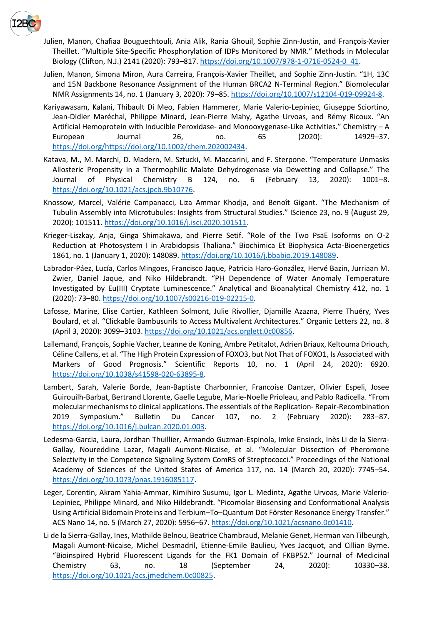

- Julien, Manon, Chafiaa Bouguechtouli, Ania Alik, Rania Ghouil, Sophie Zinn-Justin, and François-Xavier Theillet. "Multiple Site-Specific Phosphorylation of IDPs Monitored by NMR." Methods in Molecular Biology (Clifton, N.J.) 2141 (2020): 793-817[. https://doi.org/10.1007/978-1-0716-0524-0\\_41.](https://doi.org/10.1007/978-1-0716-0524-0_41)
- Julien, Manon, Simona Miron, Aura Carreira, François-Xavier Theillet, and Sophie Zinn-Justin. "1H, 13C and 15N Backbone Resonance Assignment of the Human BRCA2 N-Terminal Region." Biomolecular NMR Assignments 14, no. 1 (January 3, 2020): 79–85. [https://doi.org/10.1007/s12104-019-09924-8.](https://doi.org/10.1007/s12104-019-09924-8)
- Kariyawasam, Kalani, Thibault Di Meo, Fabien Hammerer, Marie Valerio‐Lepiniec, Giuseppe Sciortino, Jean-Didier Maréchal, Philippe Minard, Jean-Pierre Mahy, Agathe Urvoas, and Rémy Ricoux. "An Artificial Hemoprotein with Inducible Peroxidase- and Monooxygenase-Like Activities." Chemistry – A European Journal 26, no. 65 (2020): 14929–37. [https://doi.org/https://doi.org/10.1002/chem.202002434.](https://doi.org/https:/doi.org/10.1002/chem.202002434)
- Katava, M., M. Marchi, D. Madern, M. Sztucki, M. Maccarini, and F. Sterpone. "Temperature Unmasks Allosteric Propensity in a Thermophilic Malate Dehydrogenase via Dewetting and Collapse." The Journal of Physical Chemistry B 124, no. 6 (February 13, 2020): 1001–8. [https://doi.org/10.1021/acs.jpcb.9b10776.](https://doi.org/10.1021/acs.jpcb.9b10776)
- Knossow, Marcel, Valérie Campanacci, Liza Ammar Khodja, and Benoît Gigant. "The Mechanism of Tubulin Assembly into Microtubules: Insights from Structural Studies." IScience 23, no. 9 (August 29, 2020): 101511[. https://doi.org/10.1016/j.isci.2020.101511.](https://doi.org/10.1016/j.isci.2020.101511)
- Krieger-Liszkay, Anja, Ginga Shimakawa, and Pierre Setif. "Role of the Two PsaE Isoforms on O-2 Reduction at Photosystem I in Arabidopsis Thaliana." Biochimica Et Biophysica Acta-Bioenergetics 1861, no. 1 (January 1, 2020): 148089. [https://doi.org/10.1016/j.bbabio.2019.148089.](https://doi.org/10.1016/j.bbabio.2019.148089)
- Labrador-Páez, Lucía, Carlos Mingoes, Francisco Jaque, Patricia Haro-González, Hervé Bazin, Jurriaan M. Zwier, Daniel Jaque, and Niko Hildebrandt. "PH Dependence of Water Anomaly Temperature Investigated by Eu(III) Cryptate Luminescence." Analytical and Bioanalytical Chemistry 412, no. 1 (2020): 73–80. [https://doi.org/10.1007/s00216-019-02215-0.](https://doi.org/10.1007/s00216-019-02215-0)
- Lafosse, Marine, Elise Cartier, Kathleen Solmont, Julie Rivollier, Djamille Azazna, Pierre Thuéry, Yves Boulard, et al. "Clickable Bambusurils to Access Multivalent Architectures." Organic Letters 22, no. 8 (April 3, 2020): 3099–3103. [https://doi.org/10.1021/acs.orglett.0c00856.](https://doi.org/10.1021/acs.orglett.0c00856)
- Lallemand, François, Sophie Vacher, Leanne de Koning, Ambre Petitalot, Adrien Briaux, Keltouma Driouch, Céline Callens, et al. "The High Protein Expression of FOXO3, but Not That of FOXO1, Is Associated with Markers of Good Prognosis." Scientific Reports 10, no. 1 (April 24, 2020): 6920. [https://doi.org/10.1038/s41598-020-63895-8.](https://doi.org/10.1038/s41598-020-63895-8)
- Lambert, Sarah, Valerie Borde, Jean-Baptiste Charbonnier, Francoise Dantzer, Olivier Espeli, Josee Guirouilh-Barbat, Bertrand Llorente, Gaelle Legube, Marie-Noelle Prioleau, and Pablo Radicella. "From molecular mechanisms to clinical applications. The essentials of the Replication- Repair-Recombination 2019 Symposium." Bulletin Du Cancer 107, no. 2 (February 2020): 283–87. [https://doi.org/10.1016/j.bulcan.2020.01.003.](https://doi.org/10.1016/j.bulcan.2020.01.003)
- Ledesma-Garcia, Laura, Jordhan Thuillier, Armando Guzman-Espinola, Imke Ensinck, Inès Li de la Sierra-Gallay, Noureddine Lazar, Magali Aumont-Nicaise, et al. "Molecular Dissection of Pheromone Selectivity in the Competence Signaling System ComRS of Streptococci." Proceedings of the National Academy of Sciences of the United States of America 117, no. 14 (March 20, 2020): 7745–54. [https://doi.org/10.1073/pnas.1916085117.](https://doi.org/10.1073/pnas.1916085117)
- Leger, Corentin, Akram Yahia-Ammar, Kimihiro Susumu, Igor L. Medintz, Agathe Urvoas, Marie Valerio-Lepiniec, Philippe Minard, and Niko Hildebrandt. "Picomolar Biosensing and Conformational Analysis Using Artificial Bidomain Proteins and Terbium–To–Quantum Dot Förster Resonance Energy Transfer." ACS Nano 14, no. 5 (March 27, 2020): 5956–67[. https://doi.org/10.1021/acsnano.0c01410.](https://doi.org/10.1021/acsnano.0c01410)
- Li de la Sierra-Gallay, Ines, Mathilde Belnou, Beatrice Chambraud, Melanie Genet, Herman van Tilbeurgh, Magali Aumont-Nicaise, Michel Desmadril, Etienne-Emile Baulieu, Yves Jacquot, and Cillian Byrne. "Bioinspired Hybrid Fluorescent Ligands for the FK1 Domain of FKBP52." Journal of Medicinal Chemistry 63, no. 18 (September 24, 2020): 10330–38. [https://doi.org/10.1021/acs.jmedchem.0c00825.](https://doi.org/10.1021/acs.jmedchem.0c00825)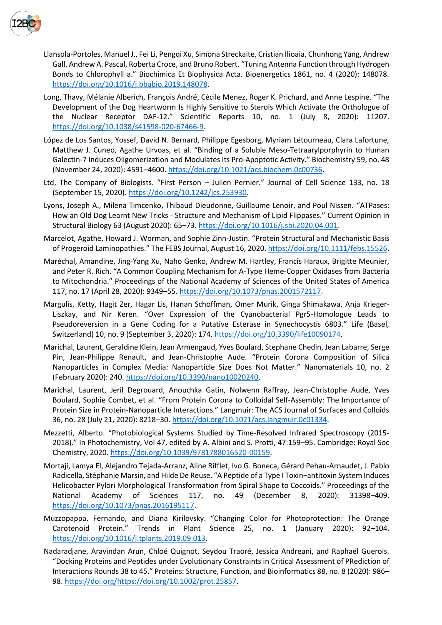

- Llansola-Portoles, Manuel J., Fei Li, Pengqi Xu, Simona Streckaite, Cristian Ilioaia, Chunhong Yang, Andrew Gall, Andrew A. Pascal, Roberta Croce, and Bruno Robert. "Tuning Antenna Function through Hydrogen Bonds to Chlorophyll a." Biochimica Et Biophysica Acta. Bioenergetics 1861, no. 4 (2020): 148078. [https://doi.org/10.1016/j.bbabio.2019.148078.](https://doi.org/10.1016/j.bbabio.2019.148078)
- Long, Thavy, Mélanie Alberich, François André, Cécile Menez, Roger K. Prichard, and Anne Lespine. "The Development of the Dog Heartworm Is Highly Sensitive to Sterols Which Activate the Orthologue of the Nuclear Receptor DAF-12." Scientific Reports 10, no. 1 (July 8, 2020): 11207. [https://doi.org/10.1038/s41598-020-67466-9.](https://doi.org/10.1038/s41598-020-67466-9)
- López de Los Santos, Yossef, David N. Bernard, Philippe Egesborg, Myriam Létourneau, Clara Lafortune, Matthew J. Cuneo, Agathe Urvoas, et al. "Binding of a Soluble Meso-Tetraarylporphyrin to Human Galectin-7 Induces Oligomerization and Modulates Its Pro-Apoptotic Activity." Biochemistry 59, no. 48 (November 24, 2020): 4591–4600[. https://doi.org/10.1021/acs.biochem.0c00736.](https://doi.org/10.1021/acs.biochem.0c00736)
- Ltd, The Company of Biologists. "First Person Julien Pernier." Journal of Cell Science 133, no. 18 (September 15, 2020). [https://doi.org/10.1242/jcs.253930.](https://doi.org/10.1242/jcs.253930)
- Lyons, Joseph A., Milena Timcenko, Thibaud Dieudonne, Guillaume Lenoir, and Poul Nissen. "ATPases: How an Old Dog Learnt New Tricks - Structure and Mechanism of Lipid Flippases." Current Opinion in Structural Biology 63 (August 2020): 65–73[. https://doi.org/10.1016/j.sbi.2020.04.001.](https://doi.org/10.1016/j.sbi.2020.04.001)
- Marcelot, Agathe, Howard J. Worman, and Sophie Zinn-Justin. "Protein Structural and Mechanistic Basis of Progeroid Laminopathies." The FEBS Journal, August 16, 2020. [https://doi.org/10.1111/febs.15526.](https://doi.org/10.1111/febs.15526)
- Maréchal, Amandine, Jing-Yang Xu, Naho Genko, Andrew M. Hartley, Francis Haraux, Brigitte Meunier, and Peter R. Rich. "A Common Coupling Mechanism for A-Type Heme-Copper Oxidases from Bacteria to Mitochondria." Proceedings of the National Academy of Sciences of the United States of America 117, no. 17 (April 28, 2020): 9349–55. [https://doi.org/10.1073/pnas.2001572117.](https://doi.org/10.1073/pnas.2001572117)
- Margulis, Ketty, Hagit Zer, Hagar Lis, Hanan Schoffman, Omer Murik, Ginga Shimakawa, Anja Krieger-Liszkay, and Nir Keren. "Over Expression of the Cyanobacterial Pgr5-Homologue Leads to Pseudoreversion in a Gene Coding for a Putative Esterase in Synechocystis 6803." Life (Basel, Switzerland) 10, no. 9 (September 3, 2020): 174. [https://doi.org/10.3390/life10090174.](https://doi.org/10.3390/life10090174)
- Marichal, Laurent, Geraldine Klein, Jean Armengaud, Yves Boulard, Stephane Chedin, Jean Labarre, Serge Pin, Jean-Philippe Renault, and Jean-Christophe Aude. "Protein Corona Composition of Silica Nanoparticles in Complex Media: Nanoparticle Size Does Not Matter." Nanomaterials 10, no. 2 (February 2020): 240[. https://doi.org/10.3390/nano10020240.](https://doi.org/10.3390/nano10020240)
- Marichal, Laurent, Jeril Degrouard, Anouchka Gatin, Nolwenn Raffray, Jean-Christophe Aude, Yves Boulard, Sophie Combet, et al. "From Protein Corona to Colloidal Self-Assembly: The Importance of Protein Size in Protein-Nanoparticle Interactions." Langmuir: The ACS Journal of Surfaces and Colloids 36, no. 28 (July 21, 2020): 8218–30. [https://doi.org/10.1021/acs.langmuir.0c01334.](https://doi.org/10.1021/acs.langmuir.0c01334)
- Mezzetti, Alberto. "Photobiological Systems Studied by Time-Resolved Infrared Spectroscopy (2015- 2018)." In Photochemistry, Vol 47, edited by A. Albini and S. Protti, 47:159–95. Cambridge: Royal Soc Chemistry, 2020. [https://doi.org/10.1039/9781788016520-00159.](https://doi.org/10.1039/9781788016520-00159)
- Mortaji, Lamya El, Alejandro Tejada-Arranz, Aline Rifflet, Ivo G. Boneca, Gérard Pehau-Arnaudet, J. Pablo Radicella, Stéphanie Marsin, and Hilde De Reuse. "A Peptide of a Type I Toxin−antitoxin System Induces Helicobacter Pylori Morphological Transformation from Spiral Shape to Coccoids." Proceedings of the National Academy of Sciences 117, no. 49 (December 8, 2020): 31398–409. [https://doi.org/10.1073/pnas.2016195117.](https://doi.org/10.1073/pnas.2016195117)
- Muzzopappa, Fernando, and Diana Kirilovsky. "Changing Color for Photoprotection: The Orange Carotenoid Protein." Trends in Plant Science 25, no. 1 (January 2020): 92–104. [https://doi.org/10.1016/j.tplants.2019.09.013.](https://doi.org/10.1016/j.tplants.2019.09.013)
- Nadaradjane, Aravindan Arun, Chloé Quignot, Seydou Traoré, Jessica Andreani, and Raphaël Guerois. "Docking Proteins and Peptides under Evolutionary Constraints in Critical Assessment of PRediction of Interactions Rounds 38 to 45." Proteins: Structure, Function, and Bioinformatics 88, no. 8 (2020): 986– 98. [https://doi.org/https://doi.org/10.1002/prot.25857.](https://doi.org/https:/doi.org/10.1002/prot.25857)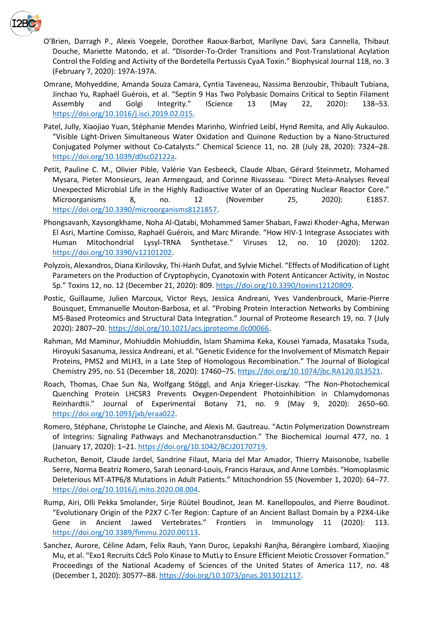

- O'Brien, Darragh P., Alexis Voegele, Dorothee Raoux-Barbot, Marilyne Davi, Sara Cannella, Thibaut Douche, Mariette Matondo, et al. "Disorder-To-Order Transitions and Post-Translational Acylation Control the Folding and Activity of the Bordetella Pertussis CyaA Toxin." Biophysical Journal 118, no. 3 (February 7, 2020): 197A-197A.
- Omrane, Mohyeddine, Amanda Souza Camara, Cyntia Taveneau, Nassima Benzoubir, Thibault Tubiana, Jinchao Yu, Raphaël Guérois, et al. "Septin 9 Has Two Polybasic Domains Critical to Septin Filament Assembly and Golgi Integrity." IScience 13 (May 22, 2020): 138–53. [https://doi.org/10.1016/j.isci.2019.02.015.](https://doi.org/10.1016/j.isci.2019.02.015)
- Patel, Jully, Xiaojiao Yuan, Stéphanie Mendes Marinho, Winfried Leibl, Hynd Remita, and Ally Aukauloo. "Visible Light-Driven Simultaneous Water Oxidation and Quinone Reduction by a Nano-Structured Conjugated Polymer without Co-Catalysts." Chemical Science 11, no. 28 (July 28, 2020): 7324–28. [https://doi.org/10.1039/d0sc02122a.](https://doi.org/10.1039/d0sc02122a)
- Petit, Pauline C. M., Olivier Pible, Valérie Van Eesbeeck, Claude Alban, Gérard Steinmetz, Mohamed Mysara, Pieter Monsieurs, Jean Armengaud, and Corinne Rivasseau. "Direct Meta-Analyses Reveal Unexpected Microbial Life in the Highly Radioactive Water of an Operating Nuclear Reactor Core." Microorganisms 8, no. 12 (November 25, 2020): E1857. [https://doi.org/10.3390/microorganisms8121857.](https://doi.org/10.3390/microorganisms8121857)
- Phongsavanh, Xaysongkhame, Noha Al-Qatabi, Mohammed Samer Shaban, Fawzi Khoder-Agha, Merwan El Asri, Martine Comisso, Raphaël Guérois, and Marc Mirande. "How HIV-1 Integrase Associates with Human Mitochondrial Lysyl-TRNA Synthetase." Viruses 12, no. 10 (2020): 1202. [https://doi.org/10.3390/v12101202.](https://doi.org/10.3390/v12101202)
- Polyzois, Alexandros, Diana Kirilovsky, Thi-Hanh Dufat, and Sylvie Michel. "Effects of Modification of Light Parameters on the Production of Cryptophycin, Cyanotoxin with Potent Anticancer Activity, in Nostoc Sp." Toxins 12, no. 12 (December 21, 2020): 809. [https://doi.org/10.3390/toxins12120809.](https://doi.org/10.3390/toxins12120809)
- Postic, Guillaume, Julien Marcoux, Victor Reys, Jessica Andreani, Yves Vandenbrouck, Marie-Pierre Bousquet, Emmanuelle Mouton-Barbosa, et al. "Probing Protein Interaction Networks by Combining MS-Based Proteomics and Structural Data Integration." Journal of Proteome Research 19, no. 7 (July 2020): 2807–20. [https://doi.org/10.1021/acs.jproteome.0c00066.](https://doi.org/10.1021/acs.jproteome.0c00066)
- Rahman, Md Maminur, Mohiuddin Mohiuddin, Islam Shamima Keka, Kousei Yamada, Masataka Tsuda, Hiroyuki Sasanuma, Jessica Andreani, et al. "Genetic Evidence for the Involvement of Mismatch Repair Proteins, PMS2 and MLH3, in a Late Step of Homologous Recombination." The Journal of Biological Chemistry 295, no. 51 (December 18, 2020): 17460–75. [https://doi.org/10.1074/jbc.RA120.013521.](https://doi.org/10.1074/jbc.RA120.013521)
- Roach, Thomas, Chae Sun Na, Wolfgang Stöggl, and Anja Krieger-Liszkay. "The Non-Photochemical Quenching Protein LHCSR3 Prevents Oxygen-Dependent Photoinhibition in Chlamydomonas Reinhardtii." Journal of Experimental Botany 71, no. 9 (May 9, 2020): 2650–60. [https://doi.org/10.1093/jxb/eraa022.](https://doi.org/10.1093/jxb/eraa022)
- Romero, Stéphane, Christophe Le Clainche, and Alexis M. Gautreau. "Actin Polymerization Downstream of Integrins: Signaling Pathways and Mechanotransduction." The Biochemical Journal 477, no. 1 (January 17, 2020): 1–21. [https://doi.org/10.1042/BCJ20170719.](https://doi.org/10.1042/BCJ20170719)
- Rucheton, Benoit, Claude Jardel, Sandrine Filaut, Maria del Mar Amador, Thierry Maisonobe, Isabelle Serre, Norma Beatriz Romero, Sarah Leonard-Louis, Francis Haraux, and Anne Lombès. "Homoplasmic Deleterious MT-ATP6/8 Mutations in Adult Patients." Mitochondrion 55 (November 1, 2020): 64–77. [https://doi.org/10.1016/j.mito.2020.08.004.](https://doi.org/10.1016/j.mito.2020.08.004)
- Rump, Airi, Olli Pekka Smolander, Sirje Rüütel Boudinot, Jean M. Kanellopoulos, and Pierre Boudinot. "Evolutionary Origin of the P2X7 C-Ter Region: Capture of an Ancient Ballast Domain by a P2X4-Like Gene in Ancient Jawed Vertebrates." Frontiers in Immunology 11 (2020): 113. [https://doi.org/10.3389/fimmu.2020.00113.](https://doi.org/10.3389/fimmu.2020.00113)
- Sanchez, Aurore, Céline Adam, Felix Rauh, Yann Duroc, Lepakshi Ranjha, Bérangère Lombard, Xiaojing Mu, et al. "Exo1 Recruits Cdc5 Polo Kinase to MutLγ to Ensure Efficient Meiotic Crossover Formation." Proceedings of the National Academy of Sciences of the United States of America 117, no. 48 (December 1, 2020): 30577–88[. https://doi.org/10.1073/pnas.2013012117.](https://doi.org/10.1073/pnas.2013012117)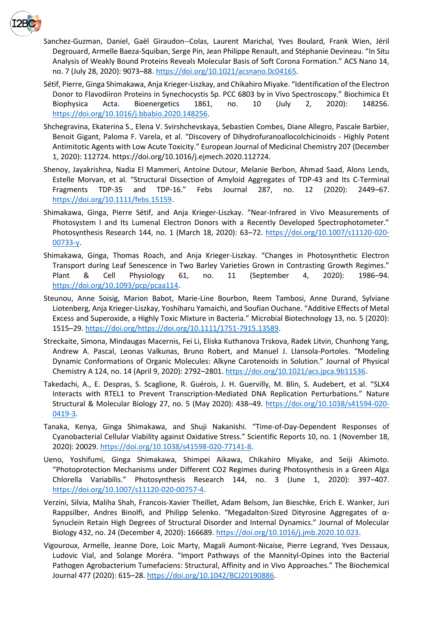

- Sanchez-Guzman, Daniel, Gaël Giraudon--Colas, Laurent Marichal, Yves Boulard, Frank Wien, Jéril Degrouard, Armelle Baeza-Squiban, Serge Pin, Jean Philippe Renault, and Stéphanie Devineau. "In Situ Analysis of Weakly Bound Proteins Reveals Molecular Basis of Soft Corona Formation." ACS Nano 14, no. 7 (July 28, 2020): 9073–88. [https://doi.org/10.1021/acsnano.0c04165.](https://doi.org/10.1021/acsnano.0c04165)
- Sétif, Pierre, Ginga Shimakawa, Anja Krieger-Liszkay, and Chikahiro Miyake. "Identification of the Electron Donor to Flavodiiron Proteins in Synechocystis Sp. PCC 6803 by in Vivo Spectroscopy." Biochimica Et Biophysica Acta. Bioenergetics 1861, no. 10 (July 2, 2020): 148256. [https://doi.org/10.1016/j.bbabio.2020.148256.](https://doi.org/10.1016/j.bbabio.2020.148256)
- Shchegravina, Ekaterina S., Elena V. Svirshchevskaya, Sebastien Combes, Diane Allegro, Pascale Barbier, Benoit Gigant, Paloma F. Varela, et al. "Discovery of Dihydrofuranoallocolchicinoids - Highly Potent Antimitotic Agents with Low Acute Toxicity." European Journal of Medicinal Chemistry 207 (December 1, 2020): 112724. https://doi.org/10.1016/j.ejmech.2020.112724.
- Shenoy, Jayakrishna, Nadia El Mammeri, Antoine Dutour, Melanie Berbon, Ahmad Saad, Alons Lends, Estelle Morvan, et al. "Structural Dissection of Amyloid Aggregates of TDP-43 and Its C-Terminal Fragments TDP-35 and TDP-16." Febs Journal 287, no. 12 (2020): 2449–67. [https://doi.org/10.1111/febs.15159.](https://doi.org/10.1111/febs.15159)
- Shimakawa, Ginga, Pierre Sétif, and Anja Krieger-Liszkay. "Near-Infrared in Vivo Measurements of Photosystem I and Its Lumenal Electron Donors with a Recently Developed Spectrophotometer." Photosynthesis Research 144, no. 1 (March 18, 2020): 63–72. [https://doi.org/10.1007/s11120-020-](https://doi.org/10.1007/s11120-020-00733-y) [00733-y.](https://doi.org/10.1007/s11120-020-00733-y)
- Shimakawa, Ginga, Thomas Roach, and Anja Krieger-Liszkay. "Changes in Photosynthetic Electron Transport during Leaf Senescence in Two Barley Varieties Grown in Contrasting Growth Regimes." Plant & Cell Physiology 61, no. 11 (September 4, 2020): 1986–94. [https://doi.org/10.1093/pcp/pcaa114.](https://doi.org/10.1093/pcp/pcaa114)
- Steunou, Anne Soisig, Marion Babot, Marie-Line Bourbon, Reem Tambosi, Anne Durand, Sylviane Liotenberg, Anja Krieger‐Liszkay, Yoshiharu Yamaichi, and Soufian Ouchane. "Additive Effects of Metal Excess and Superoxide, a Highly Toxic Mixture in Bacteria." Microbial Biotechnology 13, no. 5 (2020): 1515–29. [https://doi.org/https://doi.org/10.1111/1751-7915.13589.](https://doi.org/https:/doi.org/10.1111/1751-7915.13589)
- Streckaite, Simona, Mindaugas Macernis, Fei Li, Eliska Kuthanova Trskova, Radek Litvin, Chunhong Yang, Andrew A. Pascal, Leonas Valkunas, Bruno Robert, and Manuel J. Llansola-Portoles. "Modeling Dynamic Conformations of Organic Molecules: Alkyne Carotenoids in Solution." Journal of Physical Chemistry A 124, no. 14 (April 9, 2020): 2792–2801. [https://doi.org/10.1021/acs.jpca.9b11536.](https://doi.org/10.1021/acs.jpca.9b11536)
- Takedachi, A., E. Despras, S. Scaglione, R. Guérois, J. H. Guervilly, M. Blin, S. Audebert, et al. "SLX4 Interacts with RTEL1 to Prevent Transcription-Mediated DNA Replication Perturbations." Nature Structural & Molecular Biology 27, no. 5 (May 2020): 438–49. [https://doi.org/10.1038/s41594-020-](https://doi.org/10.1038/s41594-020-0419-3) [0419-3.](https://doi.org/10.1038/s41594-020-0419-3)
- Tanaka, Kenya, Ginga Shimakawa, and Shuji Nakanishi. "Time-of-Day-Dependent Responses of Cyanobacterial Cellular Viability against Oxidative Stress." Scientific Reports 10, no. 1 (November 18, 2020): 20029. [https://doi.org/10.1038/s41598-020-77141-8.](https://doi.org/10.1038/s41598-020-77141-8)
- Ueno, Yoshifumi, Ginga Shimakawa, Shimpei Aikawa, Chikahiro Miyake, and Seiji Akimoto. "Photoprotection Mechanisms under Different CO2 Regimes during Photosynthesis in a Green Alga Chlorella Variabilis." Photosynthesis Research 144, no. 3 (June 1, 2020): 397–407. [https://doi.org/10.1007/s11120-020-00757-4.](https://doi.org/10.1007/s11120-020-00757-4)
- Verzini, Silvia, Maliha Shah, Francois-Xavier Theillet, Adam Belsom, Jan Bieschke, Erich E. Wanker, Juri Rappsilber, Andres Binolfi, and Philipp Selenko. "Megadalton-Sized Dityrosine Aggregates of α-Synuclein Retain High Degrees of Structural Disorder and Internal Dynamics." Journal of Molecular Biology 432, no. 24 (December 4, 2020): 166689. [https://doi.org/10.1016/j.jmb.2020.10.023.](https://doi.org/10.1016/j.jmb.2020.10.023)
- Vigouroux, Armelle, Jeanne Dore, Loic Marty, Magali Aumont-Nicaise, Pierre Legrand, Yves Dessaux, Ludovic Vial, and Solange Moréra. "Import Pathways of the Mannityl-Opines into the Bacterial Pathogen Agrobacterium Tumefaciens: Structural, Affinity and in Vivo Approaches." The Biochemical Journal 477 (2020): 615–28. [https://doi.org/10.1042/BCJ20190886.](https://doi.org/10.1042/BCJ20190886)